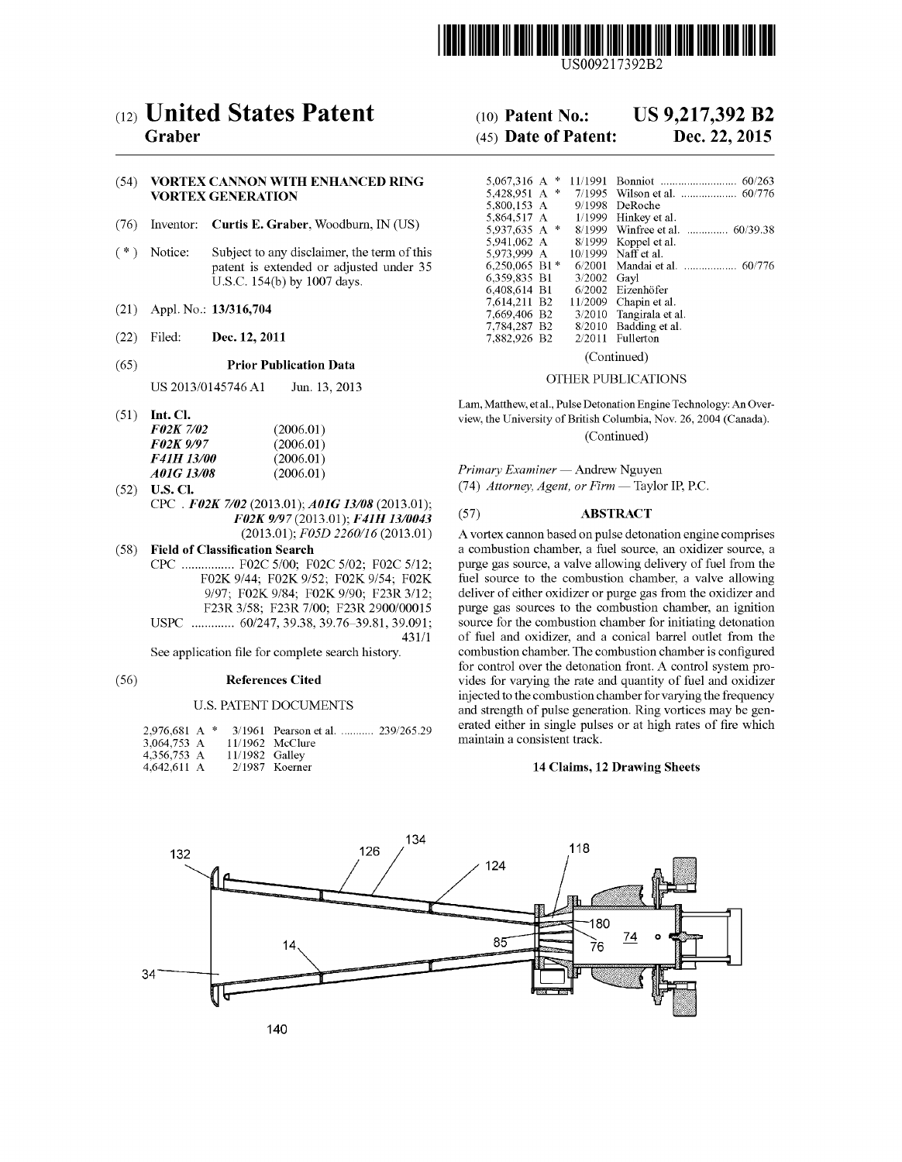

US009217392B2

# (12) United States Patent (10) Patent No.: US 9,217,392 B2<br>Graber (45) Date of Patent: Dec. 22, 2015

### (54) VORTEX CANNON WITH ENHANCED RING VORTEX GENERATION

- (76) Inventor: Curtis E. Graber, Woodburn, IN (US)
- $(*)$  Notice: Subject to any disclaimer, the term of this patent is extended or adjusted under 35 U.S.C.  $154(b)$  by  $1007$  days.
- (21) Appl. No.: 13/316,704
- 

## (65) Prior Publication Data (Continued)

US 2013/O145746A1 Jun. 13, 2013 OTHER PUBLICATIONS

|                   |           | view, the University of Drittsh Conditional |
|-------------------|-----------|---------------------------------------------|
| <b>F02K 7/02</b>  | (2006.01) | (Continued)                                 |
| <b>F02K 9/97</b>  | (2006.01) |                                             |
| <i>F41H 13/00</i> | (2006.01) |                                             |
| <i>A01G 13/08</i> | (2006.01) | <i>Primary Examiner</i> — Andrew Nguye      |

- (52) U.S. Cl. (74) Attorney, Agent, or Firm Taylor IP, P.C. (74) CPC .  $F02K$  7/02 (2013.01); (74)  $\frac{1}{2}$ F02K 9/97 (2013.01); F41H 13/0043 (57)<br>
(2013.01); F65D 2260/16 (2013.01) A vortex cannon based on pulse detor
- -

#### U.S. PATENT DOCUMENTS

| $2.976.681$ A * |                  | 3/1961 Pearson et al.  239/265.29 |
|-----------------|------------------|-----------------------------------|
| 3,064,753 A     |                  | $11/1962$ McClure                 |
| 4.356.753 A     | $11/1982$ Galley |                                   |
| 4.642.611 A     |                  | $2/1987$ Koerner                  |

### $(45)$  Date of Patent:

| (54)   |                                                            | <b>VORTEX CANNON WITH ENHANCED RING</b>     |                                  |                                 |                         |
|--------|------------------------------------------------------------|---------------------------------------------|----------------------------------|---------------------------------|-------------------------|
|        |                                                            | <b>VORTEX GENERATION</b>                    | 5.428.951 A $*$                  |                                 |                         |
|        |                                                            |                                             | 5,800,153 A                      |                                 | $9/1998$ DeRoche        |
|        |                                                            |                                             | 5,864,517 A 1/1999 Hinkey et al. |                                 |                         |
|        | (76) Inventor: <b>Curtis E. Graber</b> , Woodburn, IN (US) | 5.937.635 A $*$                             |                                  | 8/1999 Winfree et al.  60/39.38 |                         |
|        |                                                            |                                             | 5.941.062 A                      |                                 | 8/1999 Koppel et al.    |
| $($ *) | Notice:                                                    | Subject to any disclaimer, the term of this | 5.973.999 A                      |                                 | $10/1999$ Naff et al.   |
|        |                                                            | patent is extended or adjusted under 35     | 6,250,065 B1 $*$                 |                                 |                         |
|        | U.S.C. 154(b) by 1007 days.                                | 6,359,835 B1                                | $3/2002$ Gayl                    |                                 |                         |
|        |                                                            | 6.408.614 B1                                |                                  | 6/2002 Eizenhöfer               |                         |
|        |                                                            |                                             | 7,614,211 B2                     |                                 | $11/2009$ Chapin et al. |
| (21)   |                                                            | Appl. No.: 13/316,704                       | 7,669,406 B2                     |                                 | 3/2010 Tangirala et al. |
|        |                                                            |                                             | 7,784,287 B2                     |                                 | 8/2010 Badding et al.   |
| (22)   | Filed:                                                     | Dec. 12, 2011                               | 7,882,926 B2                     |                                 | $2/2011$ Fullerton      |
|        |                                                            |                                             |                                  |                                 |                         |

Lam, Matthew, et al., Pulse Detonation Engine Technology: An Over (51) Int. Cl. view, the University of British Columbia, Nov. 26, 2004 (Canada).

Primary Examiner — Andrew Nguyen

(2013.01);  $F05D\,2260/16$  (2013.01) A vortex cannon based on pulse detonation engine comprises<br>a combustion chamber, a fuel source, an oxidizer source, a Field of Classification Search a combustion chamber, a fuel source, an oxidizer source, a<br>CPC ................ F02C 5/00; F02C 5/02; F02C 5/12; purge gas source, a valve allowing delivery of fuel from the ............. F02C 5/00; F02C 5/02; F02C 5/12; purge gas source, a valve allowing delivery of fuel from the F02K 9/44; F02K 9/52; F02K 9/54; F02K 1/62 fuel source to the combustion chamber, a valve allowing F02K 9/44; F02K 9/52; F02K 9/54; F02K fuel source to the combustion chamber, a valve allowing 9/97; F02K 9/84; F02K 9/90; F23R 3/12; deliver of either oxidizer or purge gas from the oxidizer and 9/97; F02K 9/84; F02K 9/90; F23R 3/12; deliver of either oxidizer or purge gas from the oxidizer and F23R 3/58; F23R 7/00; F23R 2900/00015 purge gas sources to the combustion chamber, an ignition F23R 3/58; F23R 7/00; F23R 2900/00015 purge gas sources to the combustion chamber, an ignition USPC .............. 60/247, 39.38, 39.76–39.81, 39.091; source for the combustion chamber for initiating detonation  $\frac{9.091}{431/1}$  source for the combustion chamber for initiating detonation  $\frac{431}{1}$  of fuel and oxidizer, and a conical barrel outlet from the of fuel and oxidizer, and a conical barrel outlet from the combustion chamber. The combustion chamber is configured See application file for complete search history. combustion chamber. The combustion chamber is configured for control over the detonation front. A control system profor control over the detector control over the detector of the detector of the detector of the detector of the detector of the detector of the detector of the control of the control of the control of the control of the con and strength of pulse generation. Ring vortices may be generated either in single pulses or at high rates of fire which maintain a consistent track.

### 14 Claims, 12 Drawing Sheets

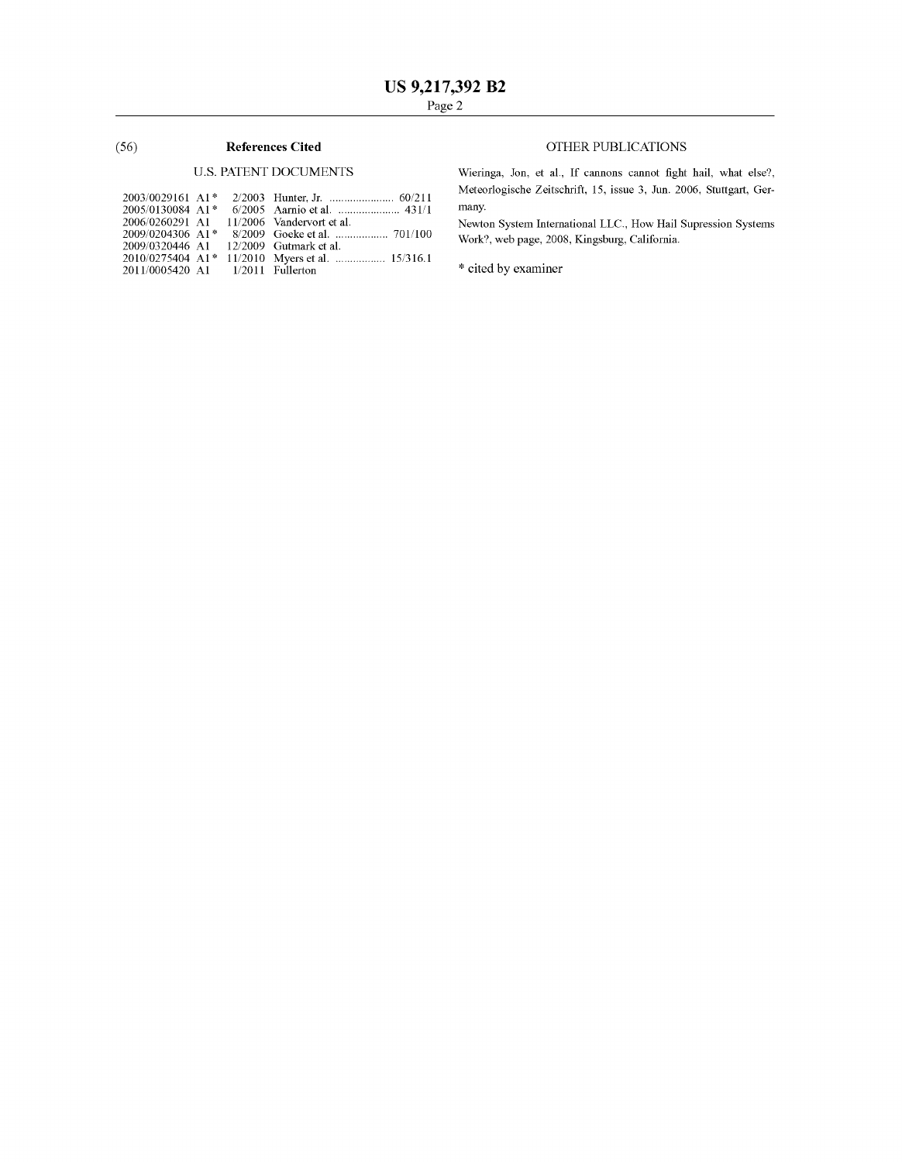### (56) References Cited OTHER PUBLICATIONS

|                                           |                                                 | 1122222 |
|-------------------------------------------|-------------------------------------------------|---------|
|                                           |                                                 | many.   |
| 2006/0260291 A1 11/2006 Vandervort et al. |                                                 | Newton  |
|                                           |                                                 | Work?   |
| 2009/0320446 A1 12/2009 Gutmark et al.    |                                                 |         |
|                                           | 2010/0275404 A1* 11/2010 Myers et al.  15/316.1 |         |
| 2011/0005420 A1 1/2011 Fullerton          |                                                 | * cited |

U.S. PATENT DOCUMENTS Wieringa, Jon, et al. If cannons cannot fight hail, what else?. Meteorlogische Zeitschrift, 15, issue 3, Jun. 2006, Stuttgart, Germany.

> Newton System International LLC., How Hail Supression Systems Work?, web page, 2008, Kingsburg, California.

\* cited by examiner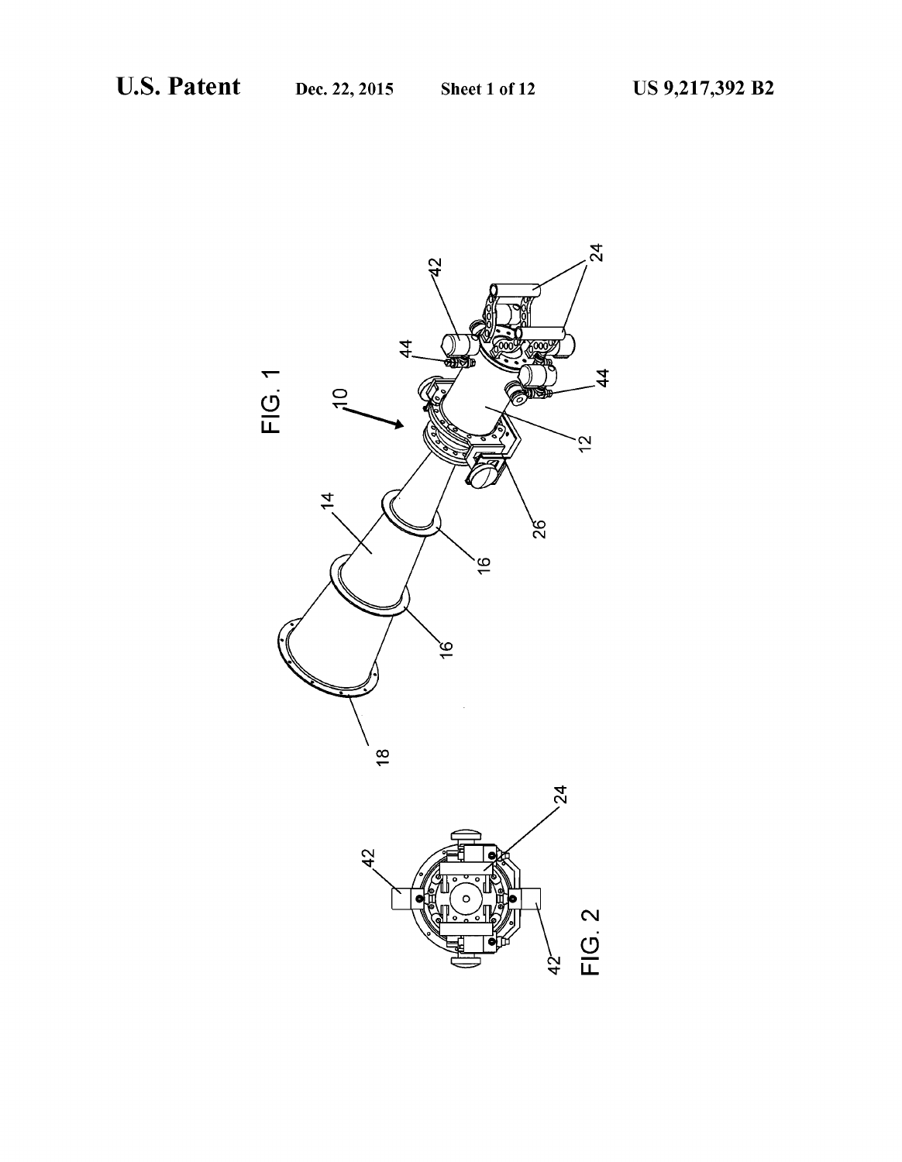

 $\frac{\dot{Q}}{4}$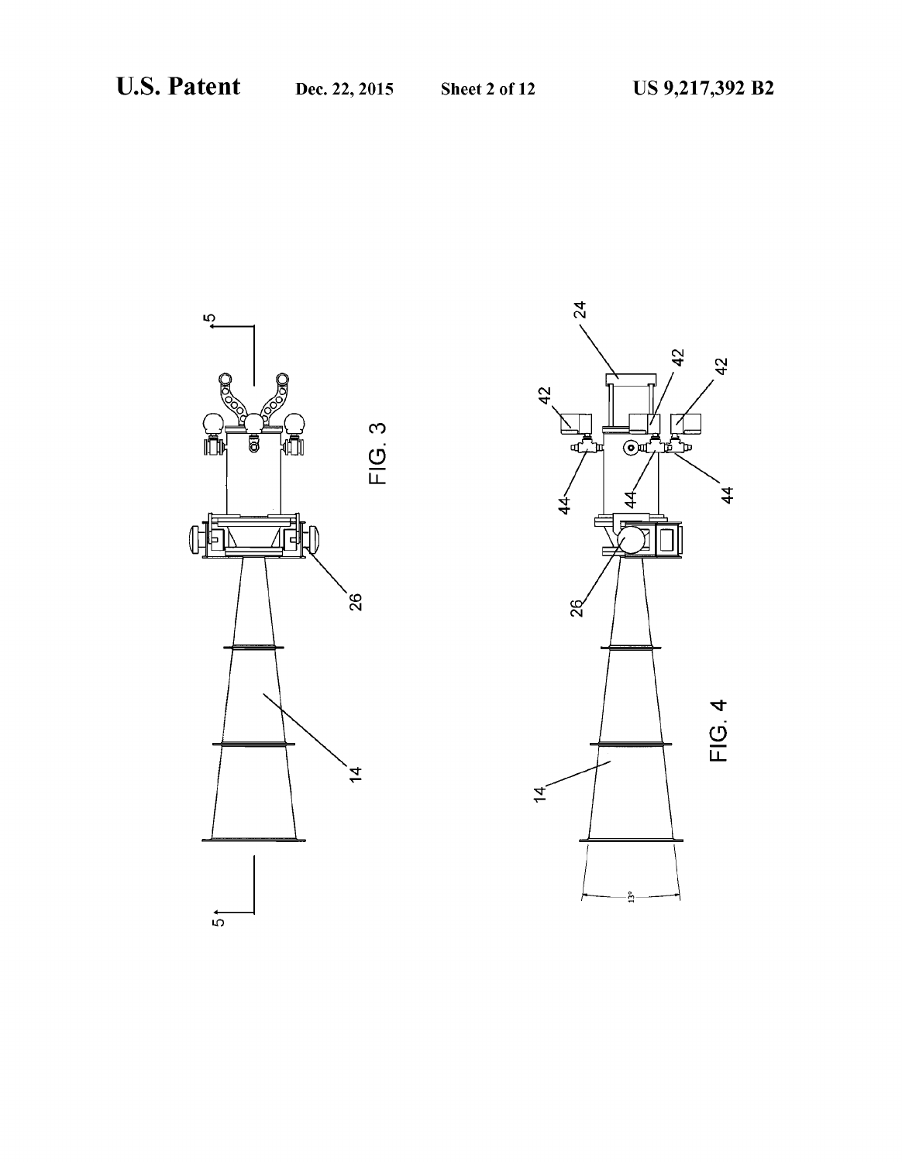

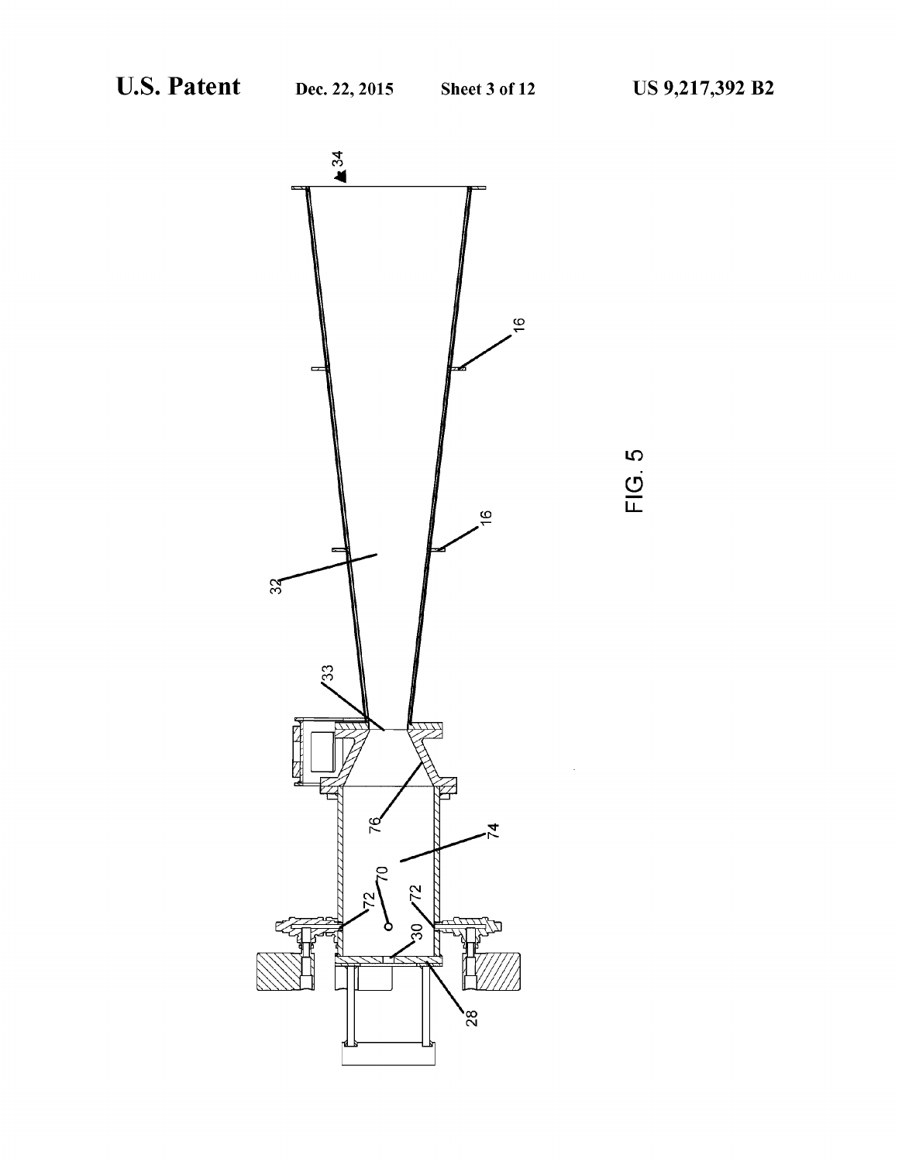$FIG. 5$ 

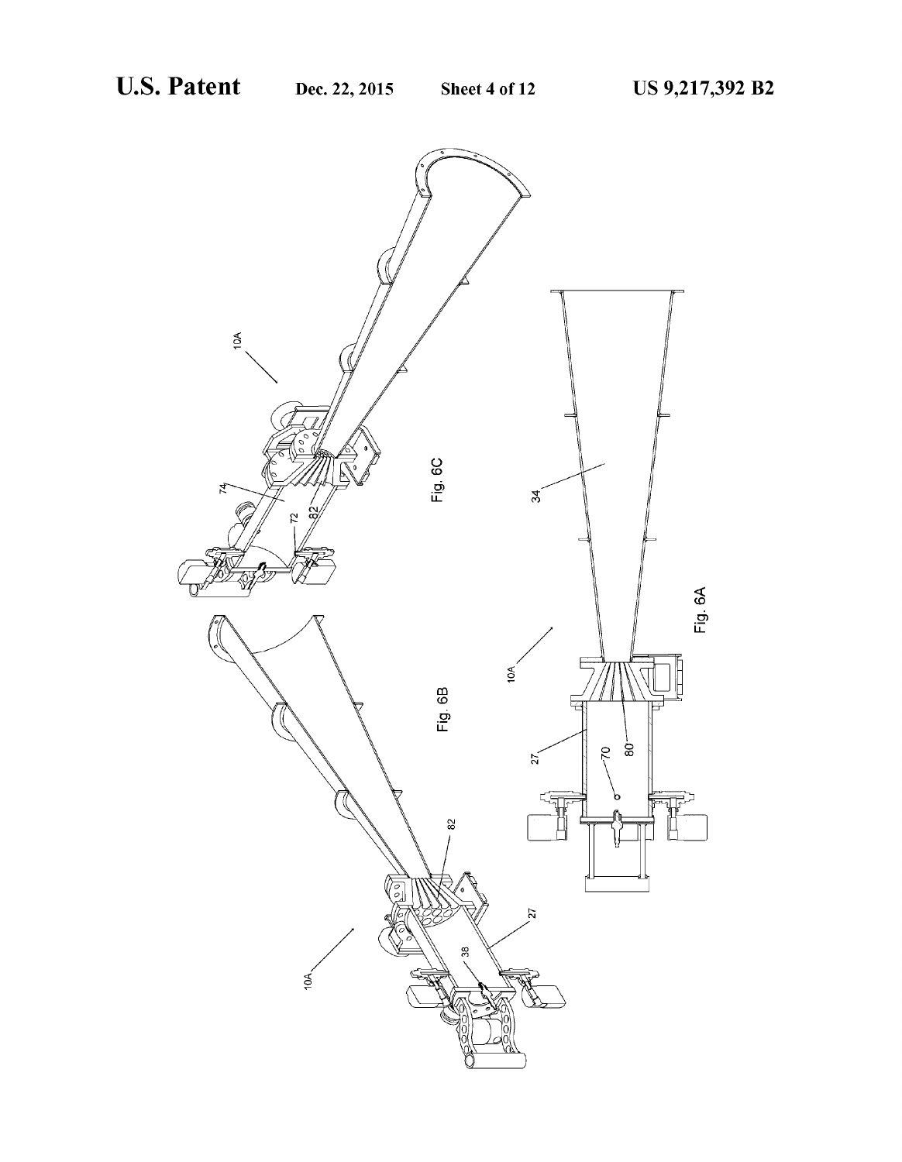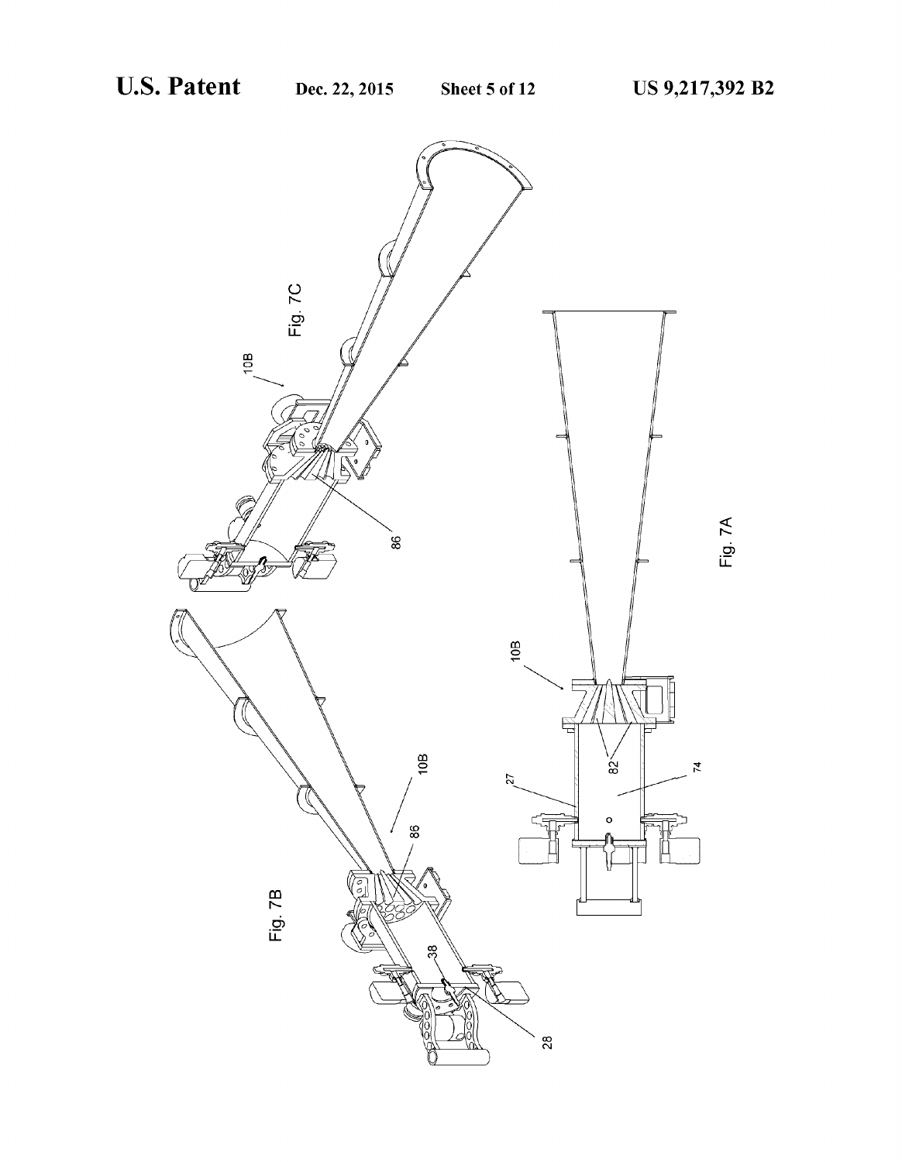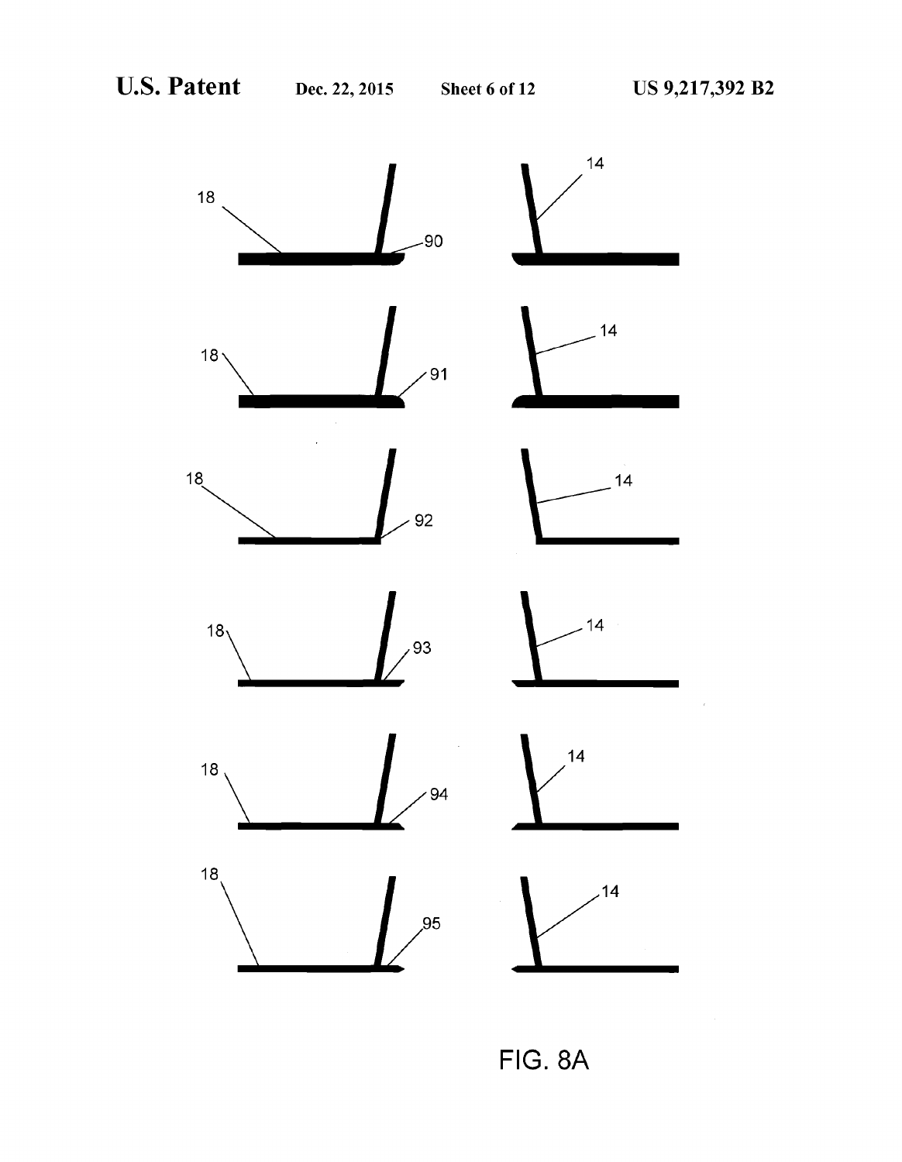

FIG. 8A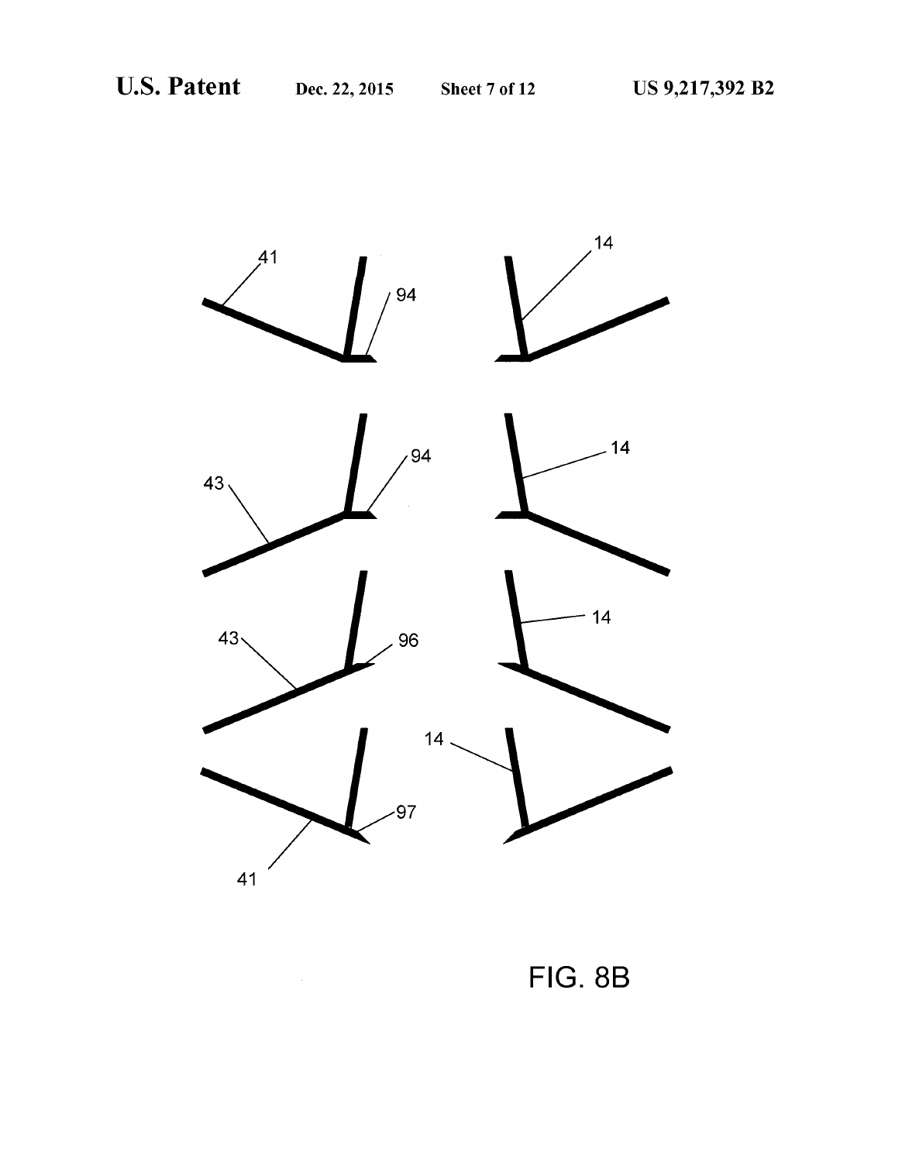

FIG. 8B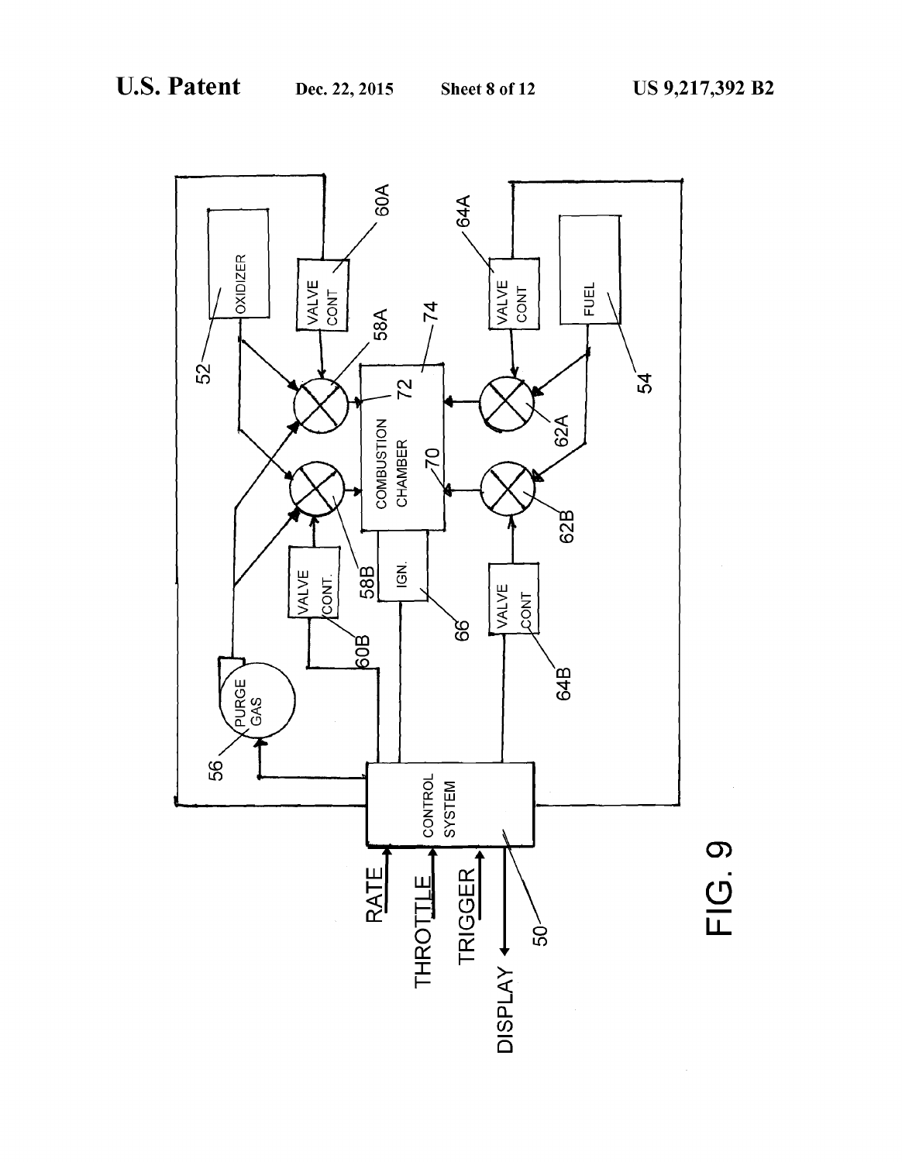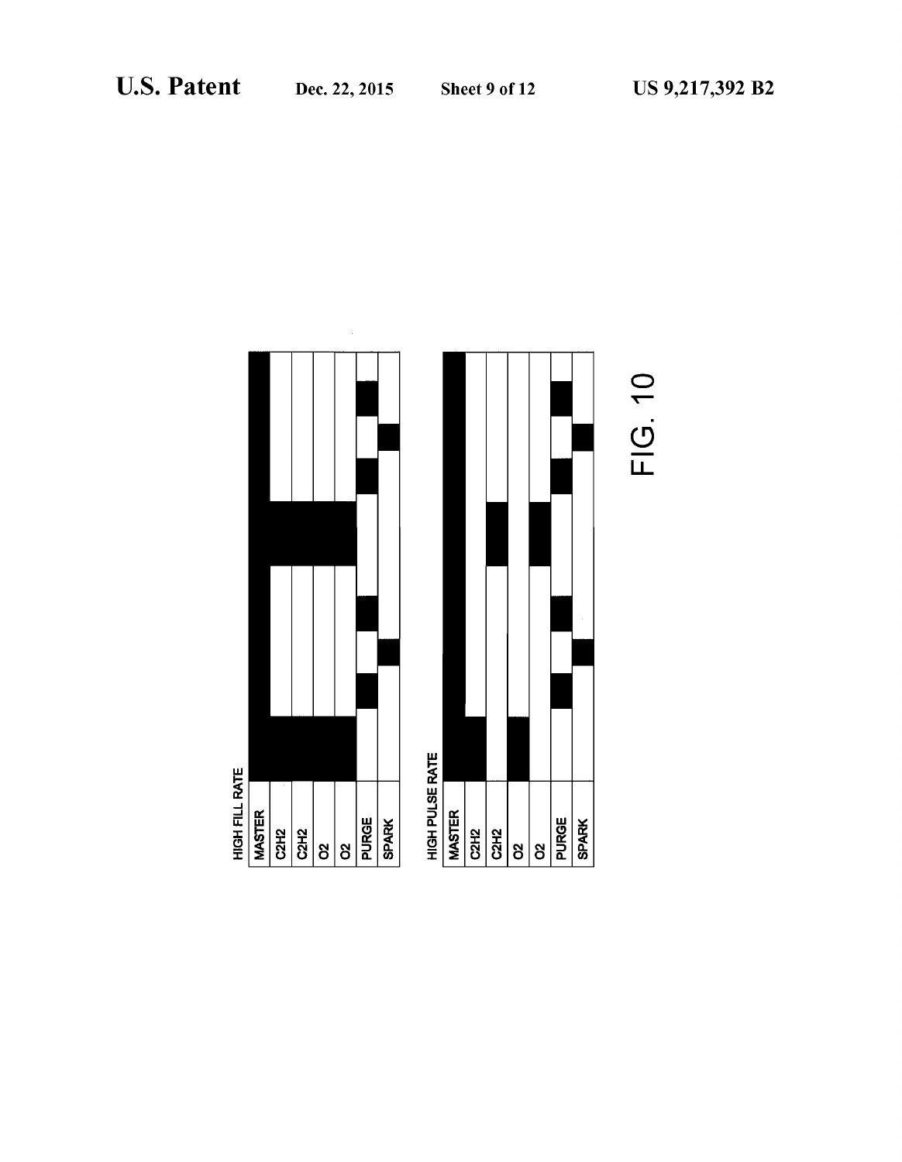FIG. 10

PURGE<br>SPARK

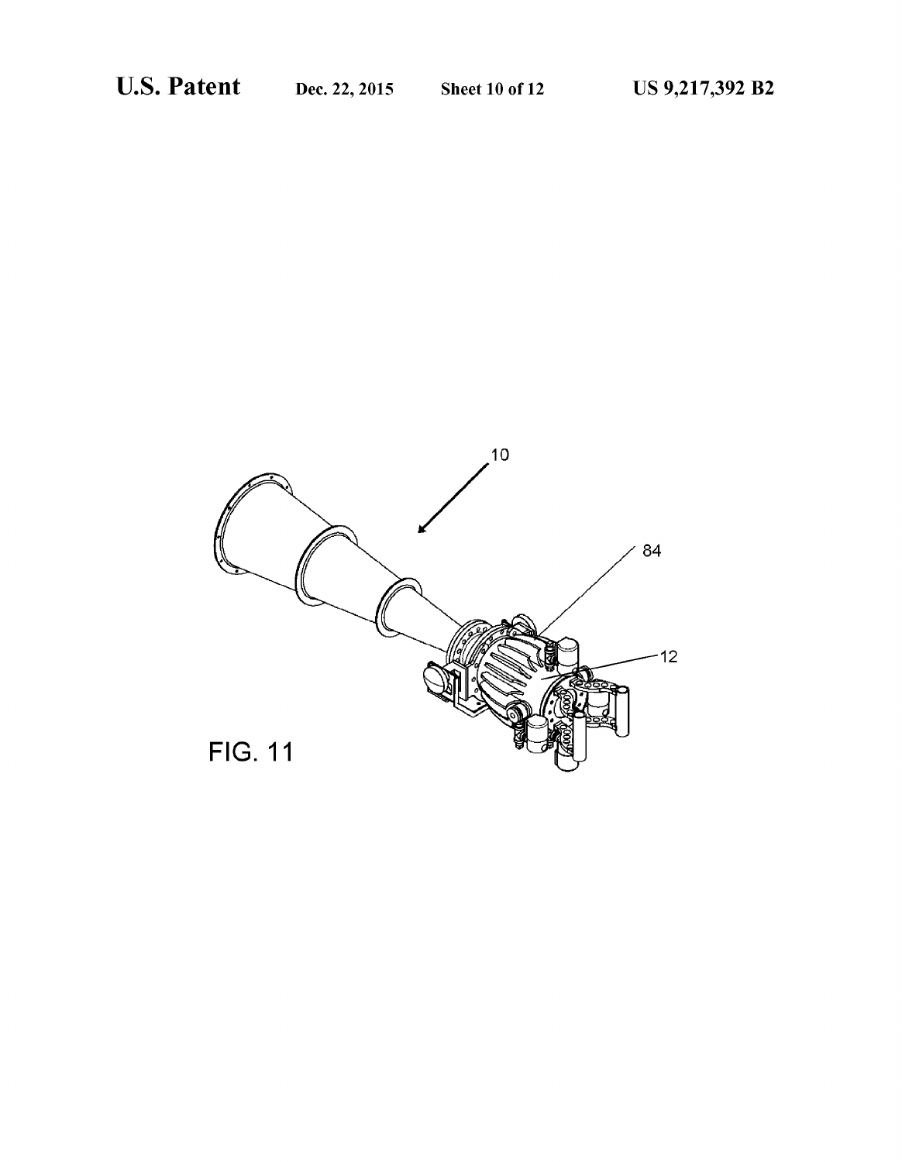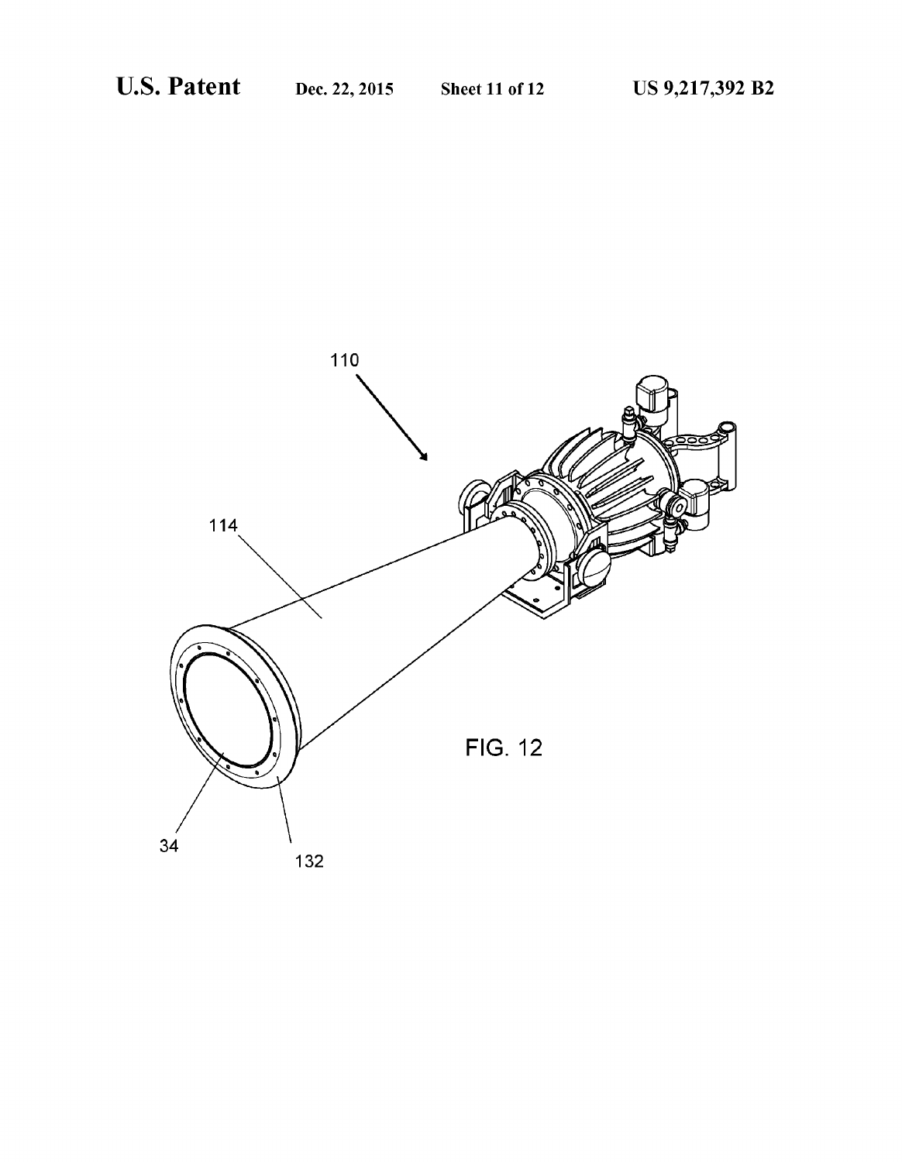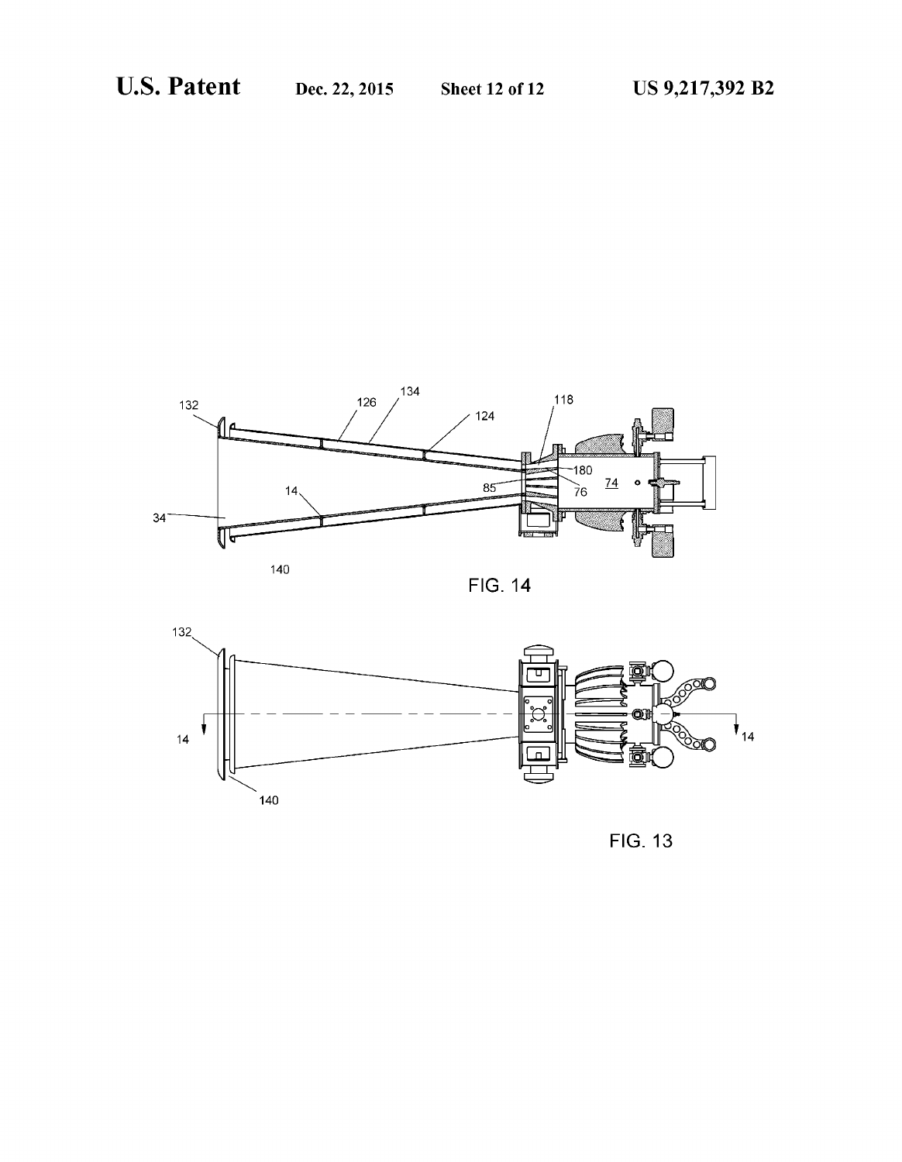





FIG. 13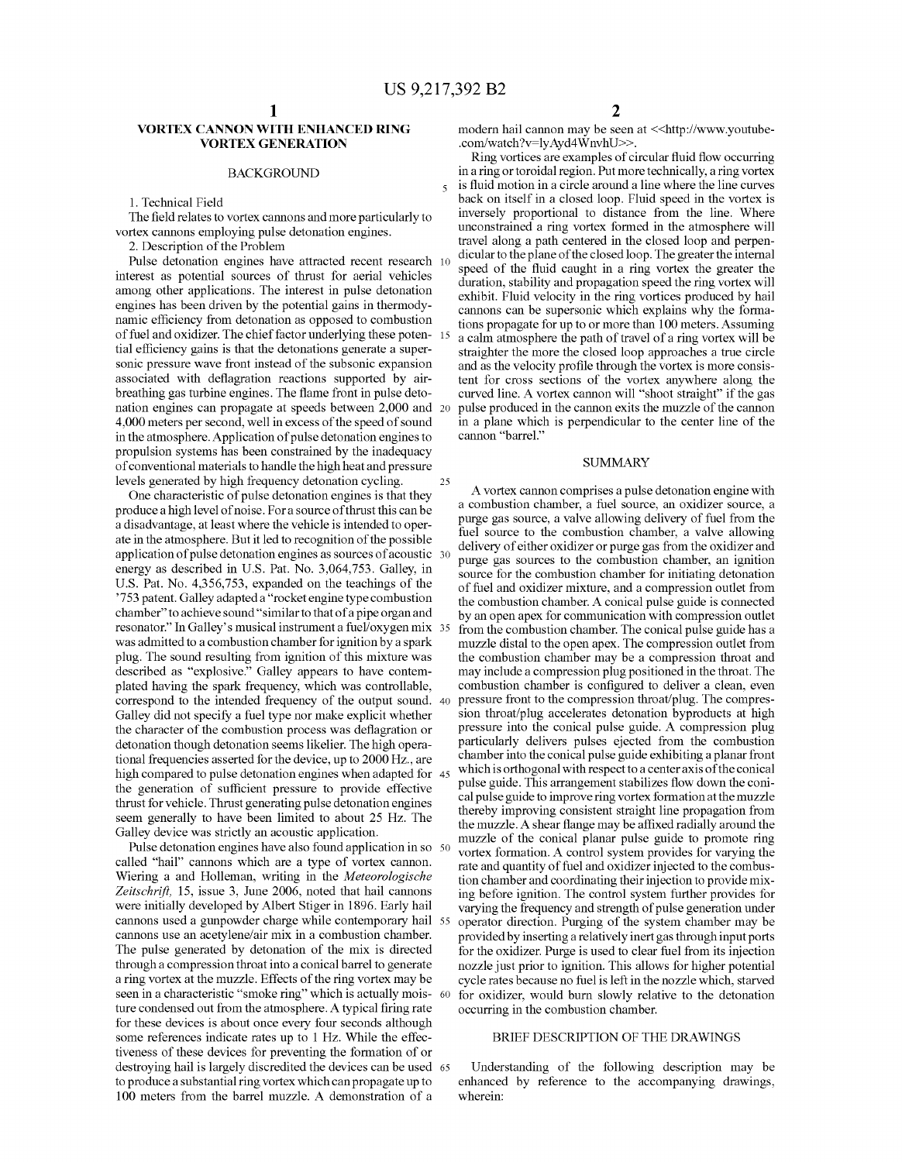$\overline{\mathbf{S}}$ 

25

### **VORTEX CANNON WITH ENHANCED RING VORTEX GENERATION**

#### **BACKGROUND**

1. Technical Field

The field relates to vortex cannons and more particularly to vortex cannons employing pulse detonation engines.

2. Description of the Problem

Pulse detonation engines have attracted recent research 10 interest as potential sources of thrust for aerial vehicles among other applications. The interest in pulse detonation engines has been driven by the potential gains in thermodynamic efficiency from detonation as opposed to combustion of fuel and oxidizer. The chief factor underlying these poten-15 tial efficiency gains is that the detonations generate a supersonic pressure wave front instead of the subsonic expansion associated with deflagration reactions supported by airbreathing gas turbine engines. The flame front in pulse detonation engines can propagate at speeds between 2,000 and 20 4,000 meters per second, well in excess of the speed of sound in the atmosphere. Application of pulse detonation engines to propulsion systems has been constrained by the inadequacy of conventional materials to handle the high heat and pressure levels generated by high frequency detonation cycling.

One characteristic of pulse detonation engines is that they produce a high level of noise. For a source of thrust this can be a disadvantage, at least where the vehicle is intended to operate in the atmosphere. But it led to recognition of the possible application of pulse detonation engines as sources of acoustic 30 energy as described in U.S. Pat. No. 3,064,753. Galley, in U.S. Pat. No. 4,356,753, expanded on the teachings of the '753 patent. Galley adapted a "rocket engine type combustion chamber" to achieve sound "similar to that of a pipe organ and resonator." In Galley's musical instrument a fuel/oxygen mix 35 was admitted to a combustion chamber for ignition by a spark plug. The sound resulting from ignition of this mixture was described as "explosive." Galley appears to have contemplated having the spark frequency, which was controllable, correspond to the intended frequency of the output sound. 40 Galley did not specify a fuel type nor make explicit whether the character of the combustion process was deflagration or detonation though detonation seems likelier. The high operational frequencies asserted for the device, up to 2000 Hz., are high compared to pulse detonation engines when adapted for 45 the generation of sufficient pressure to provide effective thrust for vehicle. Thrust generating pulse detonation engines seem generally to have been limited to about 25 Hz. The Galley device was strictly an acoustic application.

Pulse detonation engines have also found application in so 50 called "hail" cannons which are a type of vortex cannon. Wiering a and Holleman, writing in the Meteorologische Zeitschrift, 15, issue 3, June 2006, noted that hail cannons were initially developed by Albert Stiger in 1896. Early hail cannons used a gunpowder charge while contemporary hail 55 cannons use an acetylene/air mix in a combustion chamber. The pulse generated by detonation of the mix is directed through a compression throat into a conical barrel to generate a ring vortex at the muzzle. Effects of the ring vortex may be seen in a characteristic "smoke ring" which is actually mois- 60 ture condensed out from the atmosphere. A typical firing rate for these devices is about once every four seconds although some references indicate rates up to 1 Hz. While the effectiveness of these devices for preventing the formation of or destroying hail is largely discredited the devices can be used 65 to produce a substantial ring vortex which can propagate up to 100 meters from the barrel muzzle. A demonstration of a

modern hail cannon may be seen at << http://www.youtube-.com/watch?v=lyAyd4WnvhU>>.

Ring vortices are examples of circular fluid flow occurring in a ring or toroidal region. Put more technically, a ring vortex is fluid motion in a circle around a line where the line curves back on itself in a closed loop. Fluid speed in the vortex is inversely proportional to distance from the line. Where unconstrained a ring vortex formed in the atmosphere will travel along a path centered in the closed loop and perpendicular to the plane of the closed loop. The greater the internal speed of the fluid caught in a ring vortex the greater the duration, stability and propagation speed the ring vortex will exhibit. Fluid velocity in the ring vortices produced by hail cannons can be supersonic which explains why the formations propagate for up to or more than 100 meters. Assuming a calm atmosphere the path of travel of a ring vortex will be straighter the more the closed loop approaches a true circle and as the velocity profile through the vortex is more consistent for cross sections of the vortex anywhere along the curved line. A vortex cannon will "shoot straight" if the gas pulse produced in the cannon exits the muzzle of the cannon in a plane which is perpendicular to the center line of the cannon "barrel."

### **SUMMARY**

A vortex cannon comprises a pulse detonation engine with a combustion chamber, a fuel source, an oxidizer source, a purge gas source, a valve allowing delivery of fuel from the fuel source to the combustion chamber, a valve allowing delivery of either oxidizer or purge gas from the oxidizer and purge gas sources to the combustion chamber, an ignition source for the combustion chamber for initiating detonation of fuel and oxidizer mixture, and a compression outlet from the combustion chamber. A conical pulse guide is connected by an open apex for communication with compression outlet from the combustion chamber. The conical pulse guide has a muzzle distal to the open apex. The compression outlet from the combustion chamber may be a compression throat and may include a compression plug positioned in the throat. The combustion chamber is configured to deliver a clean, even pressure front to the compression throat/plug. The compression throat/plug accelerates detonation byproducts at high pressure into the conical pulse guide. A compression plug particularly delivers pulses ejected from the combustion chamber into the conical pulse guide exhibiting a planar front which is orthogonal with respect to a center axis of the conical pulse guide. This arrangement stabilizes flow down the conical pulse guide to improve ring vortex formation at the muzzle thereby improving consistent straight line propagation from the muzzle. A shear flange may be affixed radially around the muzzle of the conical planar pulse guide to promote ring vortex formation. A control system provides for varying the rate and quantity of fuel and oxidizer injected to the combustion chamber and coordinating their injection to provide mixing before ignition. The control system further provides for varying the frequency and strength of pulse generation under operator direction. Purging of the system chamber may be provided by inserting a relatively inert gas through input ports for the oxidizer. Purge is used to clear fuel from its injection nozzle just prior to ignition. This allows for higher potential cycle rates because no fuel is left in the nozzle which, starved for oxidizer, would burn slowly relative to the detonation occurring in the combustion chamber.

#### BRIEF DESCRIPTION OF THE DRAWINGS

Understanding of the following description may be enhanced by reference to the accompanying drawings, wherein: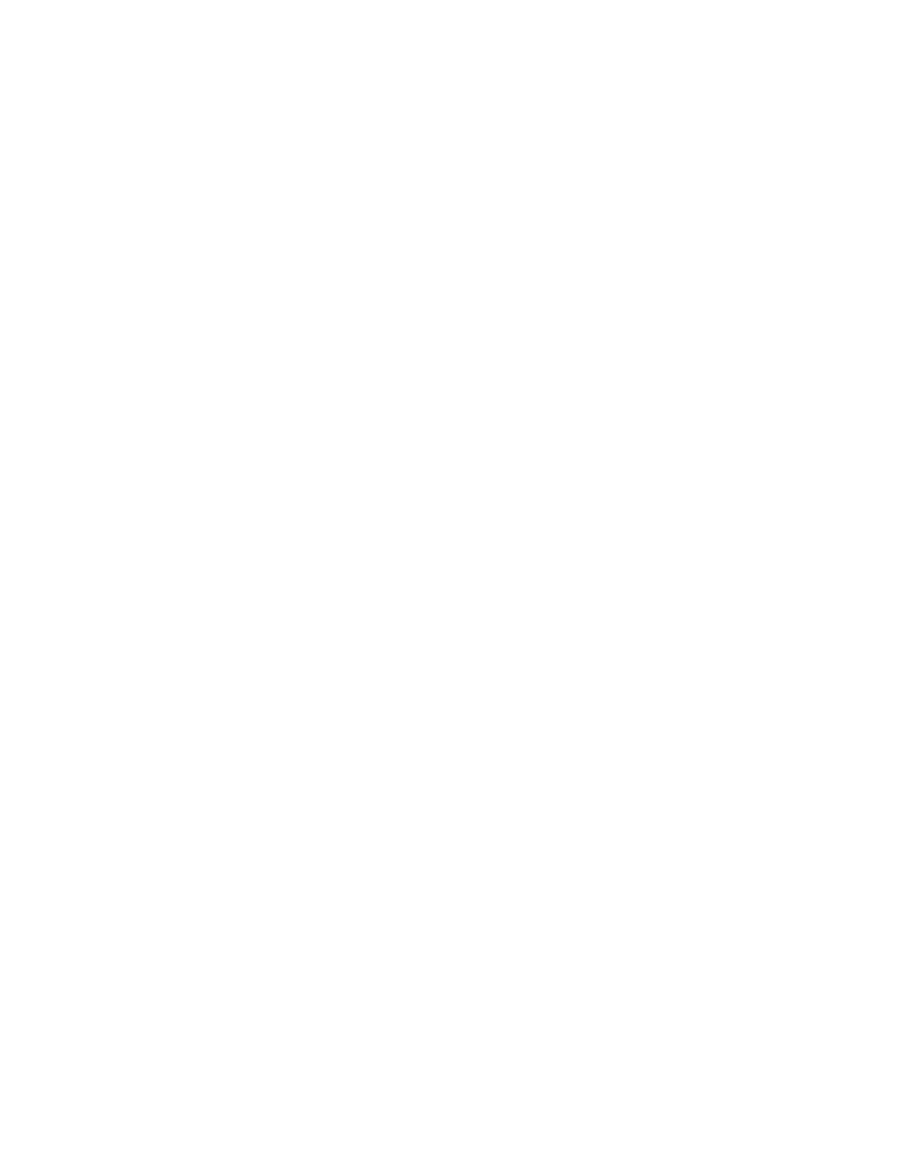$30$ 

65

FIG. 1 is a perspective view of a pulse detonation engine and radial vortex generator with impulse and cycling control.

FIG. 2 is an end view of the pulse detonation engine and radial vortex generator of FIG. 1.

FIG. 3 is a bottom view of the pulse detonation engine and  $\frac{5}{2}$ radial vortex generator of FIG. 1.

FIG. 4 is a side view of the pulse detonation engine and radial vortex generator of FIG. 1.

FIG. 5 is a cross sectional view of the pulse detonation engine and radial vortex generator of FIG. 1 taken along 10 section lines 5-5 of FIG. 3.

FIGS. 6A-C are sectional views of a vortex cannon incorporating a possible compression plug.

FIGS. 7A-C are sectional views of a vortex cannon incorporating an alternative compression plug.

FIGS. 8A and 8B are cross sectional views of muzzle vortex generators.

FIG. 9 is a high level depiction of the fuel and oxidizer injection system.

FIG. 10 is a timing diagram relating to charging, purging 20 and igniting the combustion chamber for a pulse detonation engine.

FIG. 11 is a perspective view of modified a pulse detonation engine and radial vortex generator.

FIG. 12 is a perspective view of another embodiment of a 25 pulse detonation engine and radial vortex generator.

FIG. 13 is a cross-sectional view of the pulse detonation engine and radial vortex generator of FIG. 12.

FIG. 14 is a top view of the pulse detonation engine and radial vortex generator of FIGS. 12 and 13.

### DETAILED DESCRIPTION

Referring to the figures and particularly to FIGS. 1-5 a vortex cannon 10 is shown. Vortex cannon 10 mates a pulse 35 detonation engine 11 with a bell 14 to produce and project high velocity ring vortices, potentially at a high repeat rate of fire

Bell 14 functions somewhat like the barrel of a gun, delivering expanding pulses of heated gas at high velocity to its 40 muzzle 32 where the pulses or bursts impinge against ambient air to generate the ring vortices. Unlike a conventional gun barrel the channel defined by the interior face of bell 14 is shaped like a straight cone which has been truncated at both ends. This interior channel is referred to here as a conical 45 pulse guide 32. Pulses travel through the conical pulse guide 32 in its direction of expansion resulting in acceleration of the pulses as they progress through the guide. Bell 14 is circumferentially reinforced at locations along its length by reinforcement rings 16, a radial shear former 18 located around a 50 muzzle 34 and a mounting flange 13A mounted around an open apex 33 to the bell 14 distal to the muzzle 34. A second mounting flange 13B is installed on combustion chamber housing 12. Bell 14 is mounted to a combustion chamber housing 12 along a joint 20 formed between flanges 13A and 55 13B.

Located substantially adjacent joint 20 on combustion chamber housing 12 of pulse detonation engine 11 is a bracket mount 26 which includes a pivot axis allowing the vortex cannon 10 to pitch upward and downward for aiming. Mount 60 26 is readily positioned on a base which allows the vortex cannon 10 to be turned on a yaw axis perpendicular to the pitch axis. A full mount functions as a conventional alt-azimuth mount providing freedom of movement on the pitch and yaw axes and is not shown here.

Arranged radially around the exterior of the cylindrical combustion chamber housing 12 are metering valve housings

44. Associated with each metering valve housing 44 is a valve controller housing 42. Valve housings 44 can house any of the valves described herein and/or illustrated in the figures. Depending from a combustion chamber head 28 mounted on the cylindrical combustion chamber housing 12 at the opposite end of the vortex cannon 10 muzzle 34 are a pair of handles 24 which may be grasped by an operator to aim vortex cannon 10 when mounted in the same manner as a heavy infantry weapon is handled. A representative device is approximately one meter in length with a bell 14 section of approximately 61 cm. length.

Referring particularly to FIG. 5, a combustion chamber 74 is located within combustion chamber housing 12. In a typical embodiment the summed length of the combustion chamber 74 and compression throat 76 is about 0.3 meters. Combustion chamber 74 is cylindrical in cross section. Directed into combustion chamber 74, arranged radially through the cylindrical wall 27 of the combustion chamber 74 adjacent the combustion chamber head 28, are a plurality of inlet ports 70, 72 through which fuel, oxidizer and purge gas may be admitted to the combustion chamber. In the illustrated embodiment the inlet ports 70, 72 are located substantially proximate the combustion chamber head 28. Inlet ports 70, 72 may be angled or oriented to promote swirl mixing of fuel and oxidizer, or opposed inlet ports may point directly at one another to promote impingement mixing. Oxidizer and fuel are typically gasses liquids, particularly liquid fuels may be used. Inlet ports 70, 72 alternate around the circumference the cylindrical with inlet ports 70 being used to deliver fuel and inlet ports 72 being used to deliver oxidizer or a purge gas. Discharge from inlet ports 70, 72 is not continuous but pulsed. The oxidizer inlet ports 72 are purged after delivery of oxidizer by a purge gas which may be air or a chemically relatively inert gas such as nitrogen. Ignition is provided by an ignition source 30 located through the combustion chamber head 28 to promote initiation of the flame front along the combustion chamber head 28 and progression of the detonation front through the combustion chamber 74 in the direction of the compression throat 76.

An effective fuel/oxidizer combination is acetylene  $(C_2H_2)$ and oxygen  $(O_2)$ , though other combinations are or may become possible. For example, middle distillates of oil have generally been regarded as supporting only deflagration reactions when mixed with air. However, it may be possible to increase injection pressure sufficiently to so atomize the material that a detonation reaction is supported, possibly in air but more probably in oxygen. Whatever combination is chosen the chemical combination of the materials should be highly exothermic and produce a supersonic flame front. For a stoichiometric mix of acetylene and oxygen, about 28.6% acetylene and 71.4% oxygen, the flame/detonation front propagates at about 2920 meters per second, which is about eight times the speed of sound in the atmosphere. In other words, the combination is explosive. The rapid pressure rise in the combustion chamber 74 should be monotonically nondecreasing and it should be even across the breadth of the opening to the compression throat 76.

The ignition source 30 is typically a spark plug, although alternative ignition sources may be considered such as a laser, a compression pulse outlet or some other spark source. A detonation event in the combustion chamber 74 initiated along and centered on (when a single ignition source is used) the combustion chamber head 28 results in a detonation front which should progress evenly toward the compression throat 76 and which increases pressure ahead of the front monotonically from the combustion chamber head 28 toward the compression throat 76. In addition, the detonation front should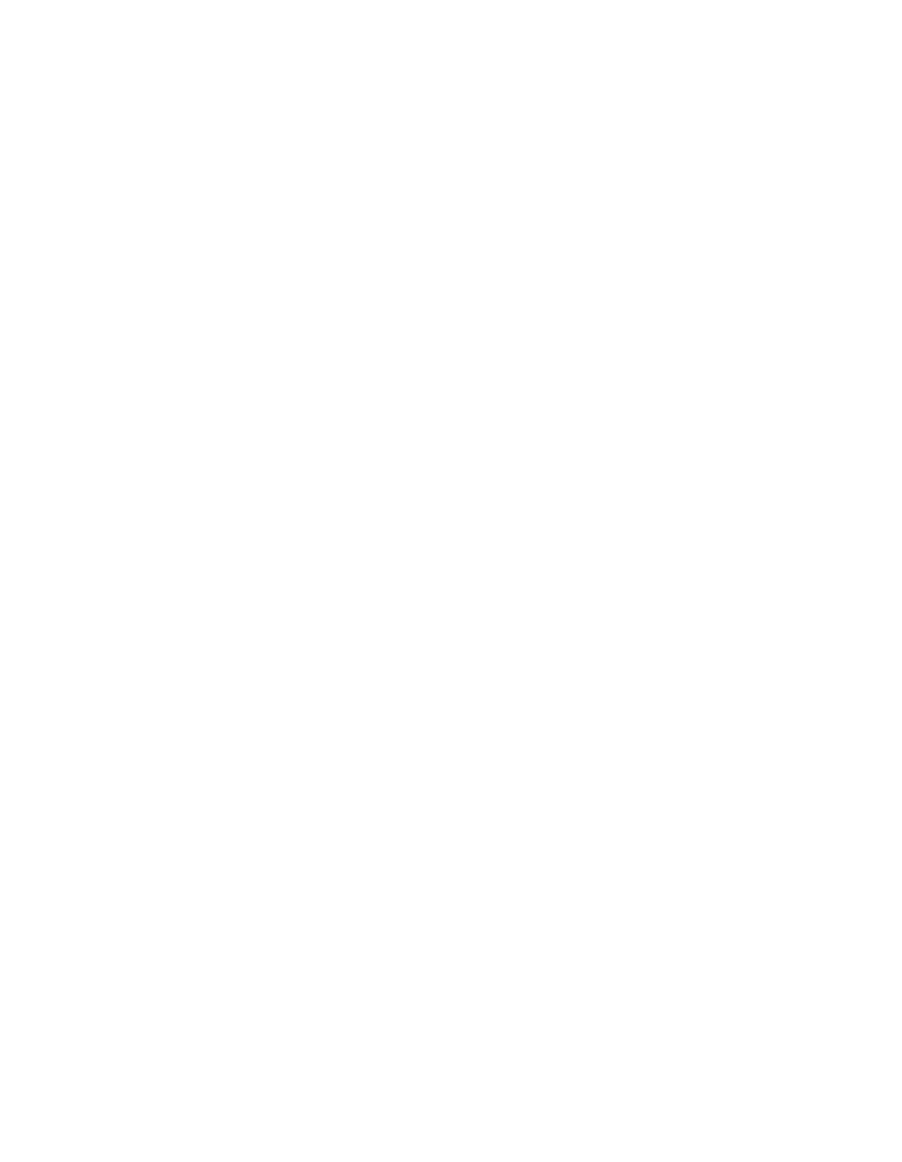accelerate as it progresses, potentially resulting in compression ignition of the mixture and end velocities which are hypersonic. The high speed of the detonation front contributes to achieving the maximum over pressure in the combustion chamber 74 and increases compression contributing to 5 gains in thermal efficiency. Should multiple ignition sources be used it is expected that they will be distributed on the compression chamber head 28 and exhibit symmetry about the center point of the head.

Combustion chamber 74 communicates with conical pulse 10 guide 32 to allow for exhaust of detonation generated pulses of gas through the conical pulse guide 34 at high, potentially hypersonic velocities through a compression throat 76 or a compression plug as described in reference to FIG. 7A-B or 8A-B. The compression throat 76 operates best with an area 15 ratio of between 2:1 to 6:1. Apex or throat 33 of pulse guide 32 is connected to a compression throat 76 which forms the outlet from combustion chamber 74 to conical pulse guide 34. The length of conical pulse guide 34 and the frequency of detonation events in combustion chamber 74 are related if the 20 vortex cannon 10 is to function properly. This enhances the resulting muzzle generated ring vortices which may exhibit internal supersonic fluid flow. The higher the speed of the pulse the more quickly it passes through the conical pulse guide 34 for discharge from the muzzle 34 into collision with 25 the outside air. A shock wave report is also produces which propagates from the muzzle 34 at the speed of sound.

Peak volume velocity of the system is determined at the point where the conversion efficiency of radial vortex spin decreases with an increase of detonation energy resulting in 30 separation of the shock wave from the inner walls of the pulse guide 32. This is corrected by either decreasing detonation energy output or reducing the pulse guide 32 divergence angle.

The overall acoustic path of a vortex cannon 10 may be 35 resonant tuned as determined by the energy pulse length to improve acoustic efficiency. This is calculated by the depth of the active filled combustion chamber 74 (the total burn time of the fuel/oxygen mix). If a pulse length is assumed to be the first quarter wavelength of the system an ideal acoustic path of 40 four times the pulse length produces the highest acoustic efficiency in the system. As an example, where the combustion chamber 74 is taken to be one fourth of the total system acoustic path length a vortex cannon 10 may be constructed with a combustion chamber 74 having a length of 8.5", a 45 compression phase plug of 2.5" in length and a conical pulse guide of 24" in length. This provides an overall acoustic path length of 34" with a wavelength equivalent of approximately 400 hz (1100 ft/sec/400 hz=2.75 ft or 33") and generated harmonics including 1200 hz ( $3^{rd}$  order) and 2000 hz ( $5^{th}$  50 order). Operating the system of repeat fire cycles of 50 hz, 100 hz, 200 hz or 400 hz produces increased output efficiency due to the resonance function of the acoustic path through the device. Non-optimum systems are also possible with unique tunings to accentuate specific frequencies. 55

In practice attempts to introduce more than one pulse passing through the conical pulse guide 34 destabilizes flow through the conical pulse guide 34. Thus multiple concurrent pulses are not allowed in the pulse guide. The detonation rate is increasingly limited by increasing the length of the conical 60 pulse guide 34 for a given combination and mixture ratio of fuels and oxidizers. Shortening the conical pulse guide 34 allows an increased firing rate, but this in turn requires a more strongly angle of divergence of the conical pulse guide 34 in order to maintain maximum gain in fluid velocity. Where a 65 divergence angle of 6 to 12 degrees is maintained the minimal length of bell 14 is optimally about 4 times the length of the

6

combustion chamber 74 for stoichiometric mixes of acetylene and oxygen. This relationship can change for other fuels or oxidizers, non-stoichiometric ratios of fuel and oxidizer and potentially for the compression achieved in the compression throat as gas temperature in the combustion chamber 74 and acceleration achieved in the compression throat 76 will change relative acceleration of pulses through the compression throat 74 and the conical pulse guide 32.

It is possible that the burn rate is somewhat non-linear through the combustion chamber 74 due to the increased pressure on unburnt oxidizer/fuel mix ahead of the flame front moving from the spark source through the compression chamber 74 toward the compression throat 76 or compression  $plug 80$ . In this case the opportunity to increase the detonation repetition rate of any fuel/oxidizer beyond the rate expected at atmospheric pressure.

Opposite sides of bell 14 are shown diverging from one another at 13 degrees. The interior wall of bell 14 defines a conical pulse guide 32 opposite sides of which diverge at this same angle. Conical pulse guide 32 is circular in cross section and diverging, expanding in diameter from its apex 33 to a muzzle 34. The angle of divergence of conical pulse guide 34 is chosen to prevent detonation pulses passing through the pulse guide from open apex 33 to muzzle 34 from separating from the interior wall of bell 14 and extracting heat from the pulse to support further acceleration of the pulse as it expands through the guide toward the muzzle 34. Every boost to speed of pulse reinforces ring vortex formation at the muzzle 34. Optimum ring vortex formation seems to result from divergences of 4 to 12 degrees of the conical pulse guide. Angles larger than 18 to 20 degrees can result in separation of the pulse from the interior wall of the bell 14. In addition, increasing angles of divergence also mean that gas traveling along interior surface of bell 14 has increasingly longer distances to travel to the muzzle 34 compared to gas moving down the centerline of the guide. This can result in a pulse exhibiting an increasingly large bulge in the middle relative to its outer portions and thus becoming less planar. Angles of less than 4 degrees cost velocity gains in the pulse which can also inhibit ring vortex formation from the muzzle 34. Other forms than conical might be chosen for bell 14, such as a parabolic form where the cross sectional area of the pulse guide expands linearly with length.

In order to generate repeated ring vortices which track a consistent straight line path projected from vortex cannon 10 it is helpful if pulses of heated gas be introduced to the open apex 33 of conical pulse guide 32 in an even, "planar" pressure front. Doing so contributes to the pulse expanding evenly through the conical pulse guide 32 to the muzzle 34, with all sections of the leading front of the pulse hitting the ambient atmosphere at the same moment. This in turn produces a ring vortex at the muzzle 34 which is more nearly circular. Where the muzzle 34 is shaped other than as a circle in a plane orthogonal to the center line of the conical pulse guide 32 the ring vortices will follow a consistent track determined by the shape and orientation of the muzzle 34.

Configuration of the combustion chamber 74 to produce a even pressure rise across the breadth of the opening to the compression throat 76 contributes to generation of a nearly circular ring vortex by supporting delivery of an even pulse to the open apex 33 of the conical pulse guide 34. FIGS. 7A-C and 8A-C illustrate incorporation of possible compression plugs 80 and 86 in the zone of the compression throat 74, or in substitution for the compression throat 74, which can contribute to "leveling" of a planar pressure front for pulses in conical wave guide 32 of vortex cannons 10A-B. Compression plugs 80, 86 are located across the open end of combus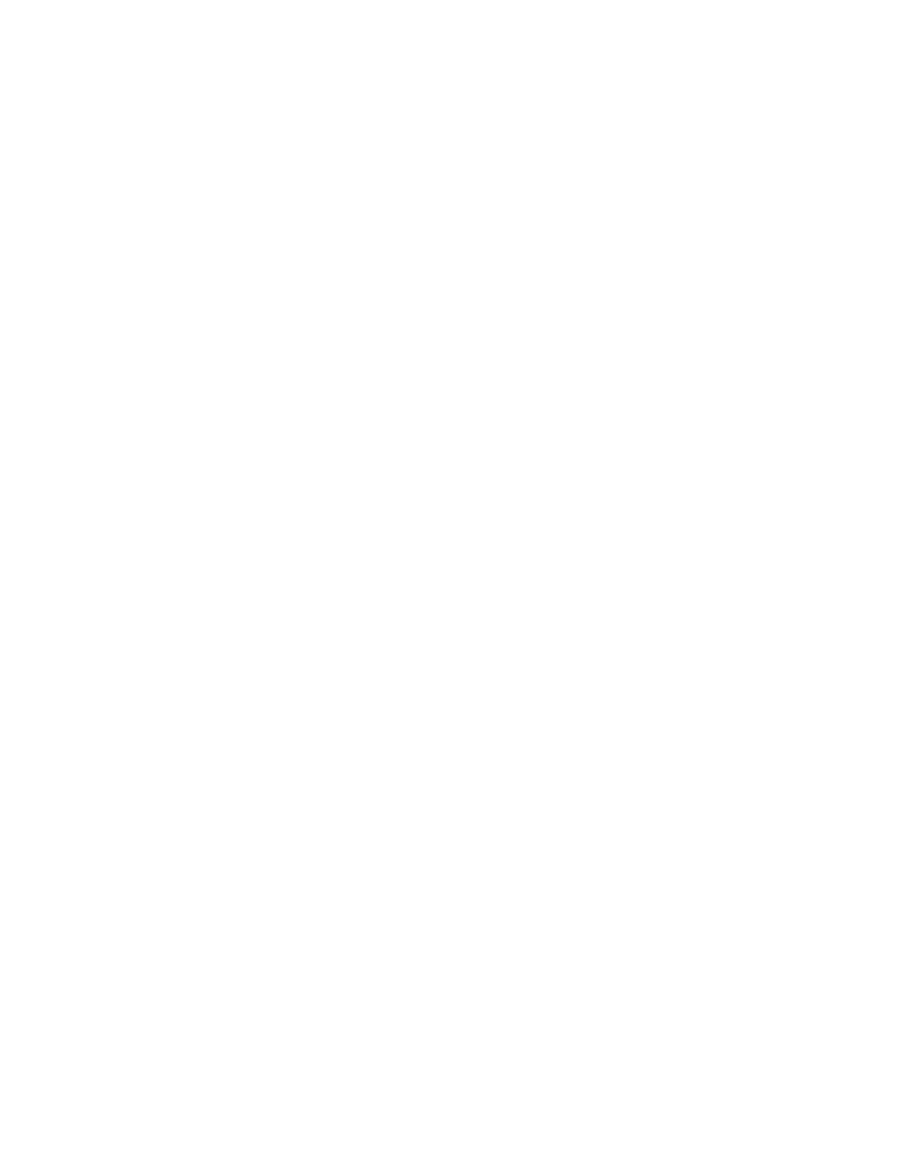tion chambers 74 of vortex cannons 10A and 10B opposite the combustion chamber heads 28 from which a detonation front is initiated by a spark plug 52 installed through the combustion chamber heads. The compression plugs 80, 86 include a plurality of constrictive channels 82 which permit fluidic 5 communication from the combustion chambers 74 to the conical pulse guides 32. Channels 82 are termed "constrictive" in that they progressively decrease in cross sectional area from the ends of the plugs 80, 86 facing the combustion chambers 74 to the face of the plugs on the open apex 33 of the  $10$ conical pulse guides 34. Channels 82 divide the cross-sectional area of a compression throat 74 and converge onto the open apex 33 to linearize flow in a directional sense and thereby eliminate turbulence in the flow.

The chief difference between compression plug 80 and 15 compression plug 86 is that no constriction channels 82 are provided along the longitudinal centerline of compression plug 86 in contrast to compression plug 80 where such channels are present. Where plugs 80, 86 are shaped as truncated cones to fit into a compression throat 74 the channels 82 20 converge on the longitudinal center line of the plugs from combustion chamber 74 toward the open apex 33. As a consequence, the length of channels 82 furthest removed from the longitudinal centerline is slightly greater than those closer to the center line and gas moving at the same speed through 25 the channels takes longer to traverse the longer channels. This can contribute to a bulge in the pressure front of a pulse in the conical pulse guide 34. By eliminating the channels 68 closest to the longitudinal center line the maximum timing difference between radially "inner" channels and "outer" channels is 30 reduced in order to reduce the degree of the possible bulge.

The muzzle 34 of bell 14 may terminate in circumferential radial shear former 18. FIGS. 8A and 8B illustrate possible cross-sectional aspects that the radial shear formers 18 may take. Examples include partial closures 90, 91, 93, 94, 95 and 35 96 which extend partly across the muzzle 34 which may promote swirling and an embodiment 92 where the muzzle 34 is left completely open. At the time this is being written it is unknown if partial closure of muzzle 34 will provide any benefit in promotion of ring vortex generation from a super or 40 hypersonic pulse. Most versions of the radial shear former 18 include a straight flange 40 extending radially outwardly from the muzzle 34. However, in embodiments 41 and 43 the flange angles back away from the muzzle 34 and forward with the muzzle 34, respectively. Partial closures 90 and 91 are 45 rounded at the end. Partial closures 93 and 94 are angled. Partial closure 95 comes to a point. Partial closures 95 and 96 angle into and out of the muzzle 34.

Referring to FIG. 9 a schematic for a pulse detonation engine 11 for vortex cannon 10 is illustrated. Pulse detonation 50 engine 11 includes an electronic control system 50 which provides controls through which it receives inputs from an operator. Operator inputs include a throttle setting, a pulse rate setting and a trigger. The trigger can be manually cycled for single shots or held down for repeated firing. Control 55 system 50 translates the operator inputs into control signals applied to various valve controllers and to an ignition source 66. Control system 50 may also be adapted to provide feedback information to the operator relating to vortex cannon 10 such as oxidizer pressure level, fuel pressure level, power 60 source (battery) state of charge, on/off ready status and an overheating alarm. The throttle setting and pulse rate may be dialed in or otherwise set using a manual actuator the position of which indicates its setting.

Cycling rates of the ignition control signal and valve con-65 troller control signals set the rate of fire for repeated firing. In chronological order a cycle comprises setting a target fuel fill

8

rate and mixture, injecting oxygen and fuel at predetermined rates, purging the fuel port 70/injection rail with a short shot of air or inert gas, trigger the ignition system and at high rates of fire again purge the port and rail. The duration of valve controller control signals can be used to control metering valve open duration to set detonation strength. Valve duration may increase as oxidizer and fuel pressure decline to maintain detonation strength although more precise results are obtained by use of pressure regulators fitted to the oxidizer and fuel sources 52, 54. In addition, control system 50 can automatically scale back detonation power in order to achieve the highest rates of fire. Electronic control system 50 generates the control signals for application to appropriate valves, purge gas compressor 56 and ignition source 66 to implement operator requests.

Control system 50 coordinates delivery of oxidizer and fuel to combustion chamber 74 by application of control signals to open valve controllers 58A-B for the delivery of oxidizer and valve controllers 62A-B for the delivery of fuel. Control system 50 activates an ignition source 66 to detonate the mixed oxidizer and fuel in combustion chamber. The quantity of oxidizer and fuel are controllable as a function of time valves 58A-B and 62A-B are open and whether one or both of metering valves 58A-B and 62A-B are used. The pressure at which oxidizer and fuel are delivered from oxidizer source 52 and fuel source 54 can affect the result if not pressure regulated. The control system 50 can be programmed to compensate for decreasing system pressure automatically by extending open periods, though this may entail decreasing rates of repeat firing or reduced detonation strength. Introducing purge gas from a compressor 56 (or other source) through the oxidizer inlet ports 72 is intended to prevent flash back through valves 58A-B and to cool the combustion chamber 74 to prevent auto-ignition of fuel in subsequent cycles of the system. Purge cycles are provided between ignition events and cycling of the oxidizer and fuel from off to on and on to off during repetition fire. In other words, during repetition fire oxidizer is never introduced to the combustion chamber 74 after a detonation event without first purging the inlet ports 72 and ignition of a fuel/oxidizer mixture never occurs without first purging the inlet ports. Purge gas may not be needed however in a system which uses atmospheric oxygen as its oxidizer source. Purging is not generally provided for the fuel inlet ports 70 but may be done.

From FIG. 9 it may be seen that combustion chamber 74 is fed by two oxidizer inlet ports 72. Connected between and oxidizer source 52 and inlet ports 72 are metering valves 58A-B which are positioned by valve controllers (typically solenoids) 60A-B. Metering valves 58A-B are also connected to a purge gas source 56 (here a pump used to compress atmospheric gas). The metering valves may be closed, or used to connect oxidizer inlet ports to either the purge gas source 56 or the oxidizer source 52. Oxidizer source may include an outlet pressure regulator to assure that oxygen, if available, is delivered at a fixed pressure to the combustion chamber 74.

Combustion chamber 74 is also fed by two fuel inlet ports 70. Ports 70 are connectable to a fuel source 54 by metering valves 62A-B. Metering valves 62A-B may be closed or opened by valve controllers 64A-B. Fuel source 54 is typically a gas under pressure and incorporates a pressure regulator to assure that fuel is delivered to the combustion chamber 74 at a fixed pressure. Valve controllers 60A-B and 64A-B respond to control signals from control system 50. It should be clear that varying the ratio of the lengths of time metering valves 58A-B are open to transfer oxidizer to combustion chamber relative to the lengths of time metering valves 62A-B are open controls the "mixture" ratio of oxidizer to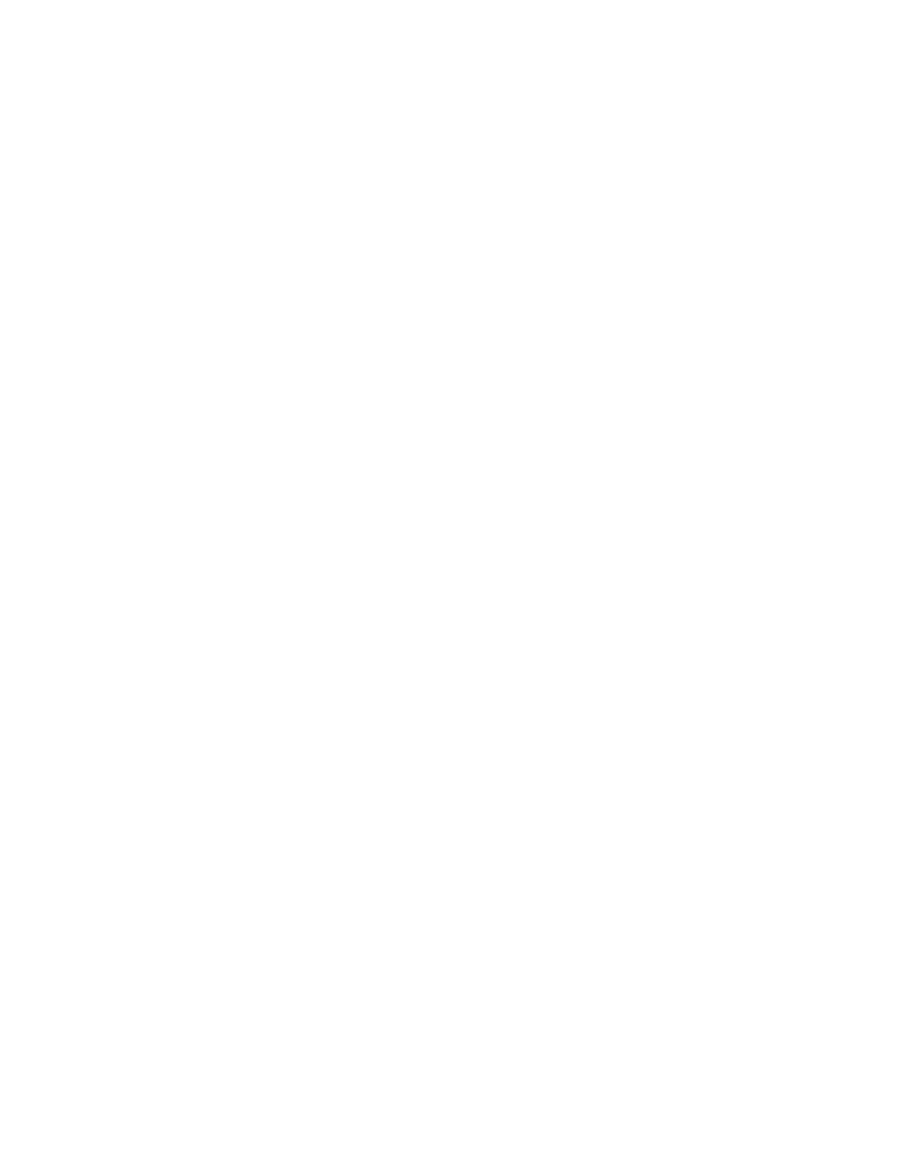fuel while the total length of time metering valves are open to deliver fuel and oxidizer can be used to control intensity. A "rich" mixture may be used to prevent detonation from occurring and instead initiating a deflagration process, if for some reason desired. A stoichiometric mixture which has substan-5 tially fully displaced the ambient atmosphere is a prerequisite condition of producing maximum detonation power.

Control system 50 provides control signals to a purge gas generator 56 (for example drive signals to a compressor motor for a compressor drawing ambient air), valve control- $10$ lers 60A-B and 62A-B (for example solenoids) and to an ignition source 66 (for example a trigger for a spark plug). Control outputs are generated by the control system 50 in response to the operator inputs. In general, in response to a firing request the oxidizer metering valves 58A-B are opened 15 synchronously with the fuel metering valves 62A-B to charge the combustion chamber 74 for a detonation event. After a brief delay to allow adequate mixing without excessive leakage a spark is generated to set off a detonation event. Additional operations of the oxidizer metering valves 58A-B may 20 be provided to insert purge gas through the oxidizer inlets 72 to prevent combustion from entering the inlets. Purge gas may also be inserted to the combustion chamber 74 to cool the chamber after a detonation event to prevent auto-ignition of a detonation event for the next cycle. The need for this may 25 depend on the firing rate. Inherent mechanical limitations in solenoids and valves limit the frequency, however, where a plurality of oxidizer metering valves 58A-B and fuel metering valves 62A-B are provided, their operation may be staggered to increase the frequency. Staggering the operation of 30 the valves however results in an incremental reduction in the impulse power.

At constant pressure from the oxidizer source 52 and the fuel source 54, the absolute time duration in which metering valves 58A-B and 62A-B are open relates positively to the 35 power released by subsequent detonation of a fuel/oxidizer charge. There is a limit to detonation power fixed by point where leakage of fuel and oxidizer from the combustion chamber equals the rate at which it can be delivered, allowing for time to close the metering valves and to purge the oxidizer 40 inlets 72. Normally a stoichiometric mix is used at any power (throttle) setting, although a fuel rich mixture may be used to provide to soften the shock wave resulting from the detonation. By soften it is meant that the peak pressure of the resulting N wave is lower than for a stoichiometric ration and 45 the time duration is longer. Metering valve relative timing may also be varied where reduced or increased power detonations are being produced, where oxygen is present in the purge gas.

FIG. 10 illustrates coordination of metering valve and 50 spark timing for a high fill rate (to achieve maximum power) and a high pulse rate (obtained by staggered operation of metering valves to overcome inherent metering valve limitations and control overheating. The timing diagram assumes two oxidizer metering valves 58A-B and two fuel metering 55 valves 62A-B all of which open synchronously for high fill rate firing. In order to obtain a high pulse rate alternate pairs of oxidizer metering valves and fuel metering valves open in conjunction with one another. The high pulse rate diagram reflects approximately half the elapsed time represented by 60 the high fill rate diagram, however this difference is not reflected in the relative lengths of the on cycles (shown as the dark sections. Purge cycles occur just before and after spark generation.

FIG. 11 illustrates modification of vortex cannon 10 of 65 FIG. 1 to include a plurality of cooling vanes 84 which are radially oriented outwardly from and distributed around the

circumference of the combustion chamber housing 12. Cooling vanes 84 promote heat rejection from the combustion chamber 74 allowing increased rates of firing.

FIG. 12 illustrates a vortex cannon 110 having a double bell 114 and an extended, reverse tapered muzzle facing 132 surrounding the muzzle 34. Vortex cannon 110 includes modifications to enhance vortex generation from the muzzle 34.

FIG. 13 illustrates a secondary annular mouth 140 located behind muzzle facing 132 relative to the muzzle 34. Gas ejected from annular mouth 140 is directed primarily radially outwardly from the centerline of vortex cannon 110 and is partially reversed with respect to the direction of ejection of gas from muzzle 34. Since mouth 140 is outside of muzzle 34 gas ejected from the mouth 140 can promote vortex generation at the tapered facing 132. As shown in FIG. 14 an annular throat 118 from combustion chamber 74 into an expanding secondary pulse guide 126 allows for diversion of a portion of the combustion byproduct to annular mouth 140. Annular secondary pulse guide 126 is defined between bell 14 and outer bell casing 134 of the double bell 114. Reinforcement rings 124 are modified from reinforcement rings 16 by the location of ports through the rings. Annular throat 118 surrounds compression throat 76, which may or may not retain a compression plug 85. A divider 180 separates the annular throat 180 from the central compression throat 76.

What is claimed is:

- 1. An acoustically efficient vortex cannon comprising:
- a combustion chamber;
- a fuel source;
- an oxidizer source;
- a purge gas source;
- at least one valve for delivery of fuel from the fuel source to the combustion chamber;
- at least one valve for delivery of either oxidizer or purge gas from the oxidizer and purge gas sources to the combustion chamber:
- an ignition source for the combustion chamber for initiating detonation of fuel and oxidizer;
- an outlet from the combustion chamber;
- a conical pulse guide coupled to said outlet;
- a secondary pulse guide spaced radially outside of said conical pulse guide, said secondary pulse guide substantially surrounding an outer surface of said conical pulse guide; and
- a throat directly coupled to the outlet of the combustion chamber and an inlet of the conical pulse guide, wherein said conical pulse guide has a muzzle, the conical pulse guide being fluidically coupled to the outlet from the combustion chamber, said secondary pulse guide also being fluidically coupled to the outlet from the combustion chamber: and
- a mouth from the secondary pulse guide located radially outside the muzzle and oriented to elect gas radially outwardly from a center line through the muzzle.

2. The acoustically efficient vortex cannon as claimed in claim 1, wherein the at least one valve for delivery of fuel is a plurality of valves connecting the fuel source to the combustion chamber, the at least one valve for delivery of either oxidizer or purge gas includes a plurality of valves connecting the oxidizer source to the combustion chamber, the fuel and oxidizer valves being independently actuatable.

3. The acoustically efficient vortex cannon as claimed in claim 2, further comprising: a cylindrical wall forming part of the combustion chamber; a combustion chamber head closing one end of the cylindrical wall; and the pluralities of valves connecting the oxidizer source and the fuel source to the combustion chamber being arranged radially through said